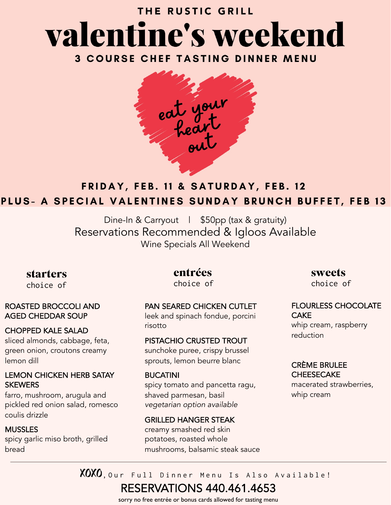# THE RUSTIC GRILL valentine's weekend

**3 COURSE CHEF TASTING DINNER MENU** 



## FRIDAY, FEB. 11 & SATURDAY, FEB. 12 PLUS- A SPECIAL VALENTINES SUNDAY BRUNCH BUFFET, FEB 13

Dine-In & Carryout | \$50pp (tax & gratuity) Reservations Recommended & Igloos Available Wine Specials All Weekend

**starters**

choice of

#### ROASTED BROCCOLI AND AGED CHEDDAR SOUP

### CHOPPED KALE SALAD

sliced almonds, cabbage, feta, green onion, croutons creamy lemon dill

### LEMON CHICKEN HERB SATAY **SKEWERS**

farro, mushroom, arugula and pickled red onion salad, romesco coulis drizzle

### MUSSLES

spicy garlic miso broth, grilled bread

**entrées**  choice of

## PAN SEARED CHICKEN CUTLET

leek and spinach fondue, porcini risotto

### PISTACHIO CRUSTED TROUT

sunchoke puree, crispy brussel sprouts, lemon beurre blanc

### BUCATINI

spicy tomato and pancetta ragu, shaved parmesan, basil *vegetarian option available*

### GRILLED HANGER STEAK

creamy smashed red skin potatoes, roasted whole mushrooms, balsamic steak sauce **sweets**  choice of

#### FLOURLESS CHOCOLATE **CAKE** whip cream, raspberry reduction

## CRÈME BRULEE **CHEESECAKE**

macerated strawberries, whip cream

XOXO, Our Full Dinner Menu Is Also Available!

## RESERVATIONS 440.461.4653

sorry no free entrée or bonus cards allowed for tasting menu